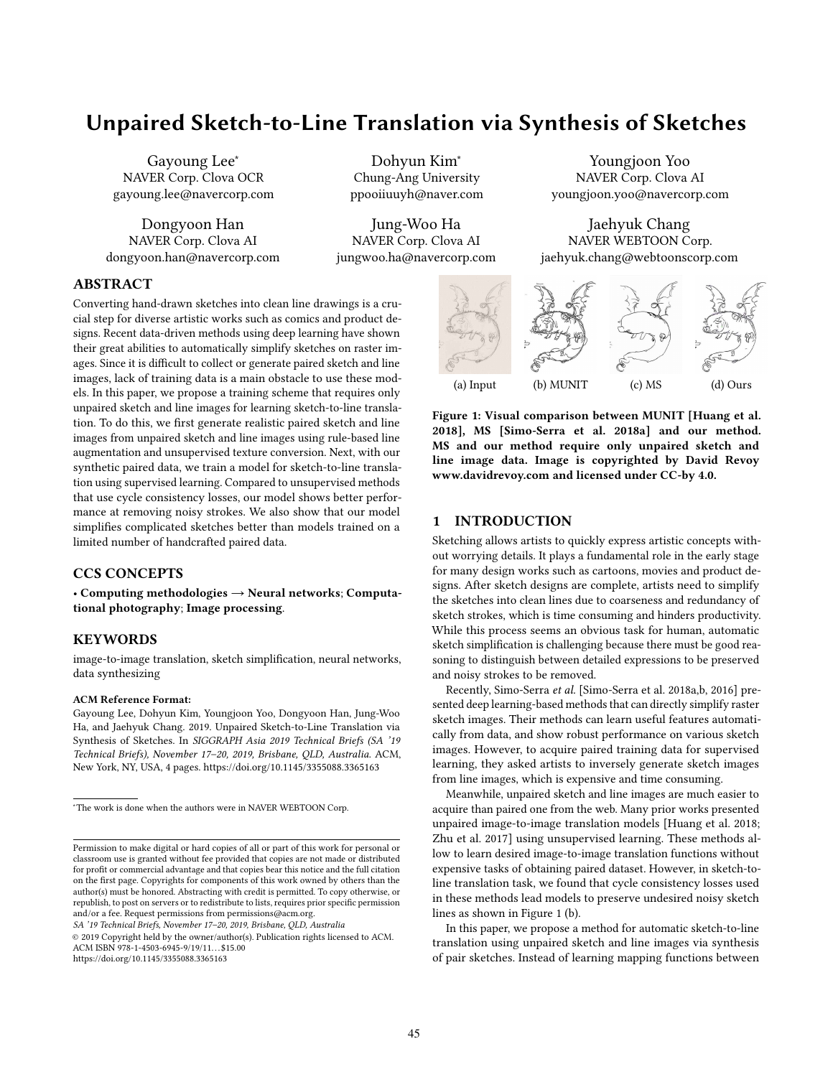# Unpaired Sketch-to-Line Translation via Synthesis of Sketches

Gayoung Lee<sup>∗</sup> NAVER Corp. Clova OCR gayoung.lee@navercorp.com

Dongyoon Han NAVER Corp. Clova AI dongyoon.han@navercorp.com

Dohyun Kim<sup>∗</sup> Chung-Ang University ppooiiuuyh@naver.com

Jung-Woo Ha NAVER Corp. Clova AI jungwoo.ha@navercorp.com

Youngjoon Yoo NAVER Corp. Clova AI youngjoon.yoo@navercorp.com

Jaehyuk Chang NAVER WEBTOON Corp. jaehyuk.chang@webtoonscorp.com

# ABSTRACT

Converting hand-drawn sketches into clean line drawings is a crucial step for diverse artistic works such as comics and product designs. Recent data-driven methods using deep learning have shown their great abilities to automatically simplify sketches on raster images. Since it is difficult to collect or generate paired sketch and line images, lack of training data is a main obstacle to use these models. In this paper, we propose a training scheme that requires only unpaired sketch and line images for learning sketch-to-line translation. To do this, we first generate realistic paired sketch and line images from unpaired sketch and line images using rule-based line augmentation and unsupervised texture conversion. Next, with our synthetic paired data, we train a model for sketch-to-line translation using supervised learning. Compared to unsupervised methods that use cycle consistency losses, our model shows better performance at removing noisy strokes. We also show that our model simplifies complicated sketches better than models trained on a limited number of handcrafted paired data.

## CCS CONCEPTS

• Computing methodologies  $\rightarrow$  Neural networks; Computational photography; Image processing.

#### KEYWORDS

image-to-image translation, sketch simplification, neural networks, data synthesizing

#### ACM Reference Format:

Gayoung Lee, Dohyun Kim, Youngjoon Yoo, Dongyoon Han, Jung-Woo Ha, and Jaehyuk Chang. 2019. Unpaired Sketch-to-Line Translation via Synthesis of Sketches. In *SIGGRAPH Asia 2019 Technical Briefs (SA '19 Technical Briefs), November 17–20, 2019, Brisbane, QLD, Australia.* ACM, New York, NY, USA, 4 pages. https://doi.org/10.1145/3355088.3365163

*SA '19 Technical Briefs, November 17–20, 2019, Brisbane, QLD, Australia*

© 2019 Copyright held by the owner/author(s). Publication rights licensed to ACM. ACM ISBN 978-1-4503-6945-9/19/11...\$15.00 https://doi.org/10.1145/3355088.3365163



Figure 1: Visual comparison between MUNIT [Huang et al. 2018], MS [Simo-Serra et al. 2018a] and our method. MS and our method require only unpaired sketch and line image data. Image is copyrighted by David Revoy www.davidrevoy.com and licensed under CC-by 4.0.

# 1 INTRODUCTION

Sketching allows artists to quickly express artistic concepts without worrying details. It plays a fundamental role in the early stage for many design works such as cartoons, movies and product designs. After sketch designs are complete, artists need to simplify the sketches into clean lines due to coarseness and redundancy of sketch strokes, which is time consuming and hinders productivity. While this process seems an obvious task for human, automatic sketch simplification is challenging because there must be good reasoning to distinguish between detailed expressions to be preserved and noisy strokes to be removed.

Recently, Simo-Serra *et al.* [Simo-Serra et al. 2018a,b, 2016] presented deep learning-based methods that can directly simplify raster sketch images. Their methods can learn useful features automatically from data, and show robust performance on various sketch images. However, to acquire paired training data for supervised learning, they asked artists to inversely generate sketch images from line images, which is expensive and time consuming.

Meanwhile, unpaired sketch and line images are much easier to acquire than paired one from the web. Many prior works presented unpaired image-to-image translation models [Huang et al. 2018; Zhu et al. 2017] using unsupervised learning. These methods allow to learn desired image-to-image translation functions without expensive tasks of obtaining paired dataset. However, in sketch-toline translation task, we found that cycle consistency losses used in these methods lead models to preserve undesired noisy sketch lines as shown in Figure 1 (b).

In this paper, we propose a method for automatic sketch-to-line translation using unpaired sketch and line images via synthesis of pair sketches. Instead of learning mapping functions between

<sup>∗</sup>The work is done when the authors were in NAVER WEBTOON Corp.

Permission to make digital or hard copies of all or part of this work for personal or classroom use is granted without fee provided that copies are not made or distributed for profit or commercial advantage and that copies bear this notice and the full citation on the first page. Copyrights for components of this work owned by others than the author(s) must be honored. Abstracting with credit is permitted. To copy otherwise, or republish, to post on servers or to redistribute to lists, requires prior specific permission and/or a fee. Request permissions from permissions@acm.org.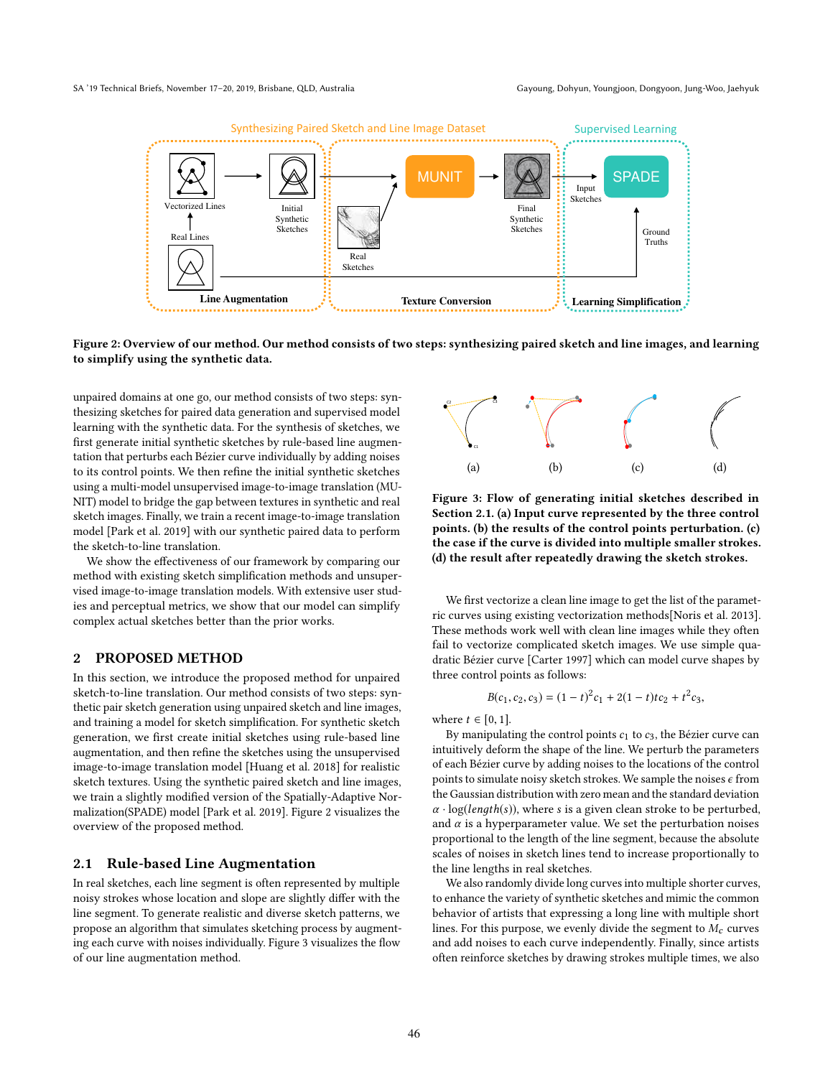

Figure 2: Overview of our method. Our method consists of two steps: synthesizing paired sketch and line images, and learning to simplify using the synthetic data.

unpaired domains at one go, our method consists of two steps: synthesizing sketches for paired data generation and supervised model learning with the synthetic data. For the synthesis of sketches, we first generate initial synthetic sketches by rule-based line augmentation that perturbs each Bézier curve individually by adding noises to its control points. We then refine the initial synthetic sketches using a multi-model unsupervised image-to-image translation (MU-NIT) model to bridge the gap between textures in synthetic and real sketch images. Finally, we train a recent image-to-image translation model [Park et al. 2019] with our synthetic paired data to perform the sketch-to-line translation.

We show the effectiveness of our framework by comparing our method with existing sketch simplification methods and unsupervised image-to-image translation models. With extensive user studies and perceptual metrics, we show that our model can simplify complex actual sketches better than the prior works.

## 2 PROPOSED METHOD

In this section, we introduce the proposed method for unpaired sketch-to-line translation. Our method consists of two steps: synthetic pair sketch generation using unpaired sketch and line images, and training a model for sketch simplification. For synthetic sketch generation, we first create initial sketches using rule-based line augmentation, and then refine the sketches using the unsupervised image-to-image translation model [Huang et al. 2018] for realistic sketch textures. Using the synthetic paired sketch and line images, we train a slightly modified version of the Spatially-Adaptive Normalization(SPADE) model [Park et al. 2019]. Figure 2 visualizes the overview of the proposed method.

#### 2.1 Rule-based Line Augmentation

In real sketches, each line segment is often represented by multiple noisy strokes whose location and slope are slightly differ with the line segment. To generate realistic and diverse sketch patterns, we propose an algorithm that simulates sketching process by augmenting each curve with noises individually. Figure 3 visualizes the flow of our line augmentation method.



Figure 3: Flow of generating initial sketches described in Section 2.1. (a) Input curve represented by the three control points. (b) the results of the control points perturbation. (c) the case if the curve is divided into multiple smaller strokes. (d) the result after repeatedly drawing the sketch strokes.

We first vectorize a clean line image to get the list of the parametric curves using existing vectorization methods[Noris et al. 2013]. These methods work well with clean line images while they often fail to vectorize complicated sketch images. We use simple quadratic Bézier curve [Carter 1997] which can model curve shapes by three control points as follows:

$$
B(c_1, c_2, c_3) = (1-t)^2 c_1 + 2(1-t)tc_2 + t^2 c_3,
$$

where  $t \in [0, 1]$ .

By manipulating the control points  $c_1$  to  $c_3$ , the Bézier curve can intuitively deform the shape of the line. We perturb the parameters of each Bézier curve by adding noises to the locations of the control points to simulate noisy sketch strokes. We sample the noises  $\epsilon$  from the Gaussian distribution with zero mean and the standard deviation  $\alpha \cdot \log(length(s))$ , where s is a given clean stroke to be perturbed, and  $\alpha$  is a hyperparameter value. We set the perturbation noises proportional to the length of the line segment, because the absolute scales of noises in sketch lines tend to increase proportionally to the line lengths in real sketches.

We also randomly divide long curves into multiple shorter curves, to enhance the variety of synthetic sketches and mimic the common behavior of artists that expressing a long line with multiple short lines. For this purpose, we evenly divide the segment to  $M_c$  curves and add noises to each curve independently. Finally, since artists often reinforce sketches by drawing strokes multiple times, we also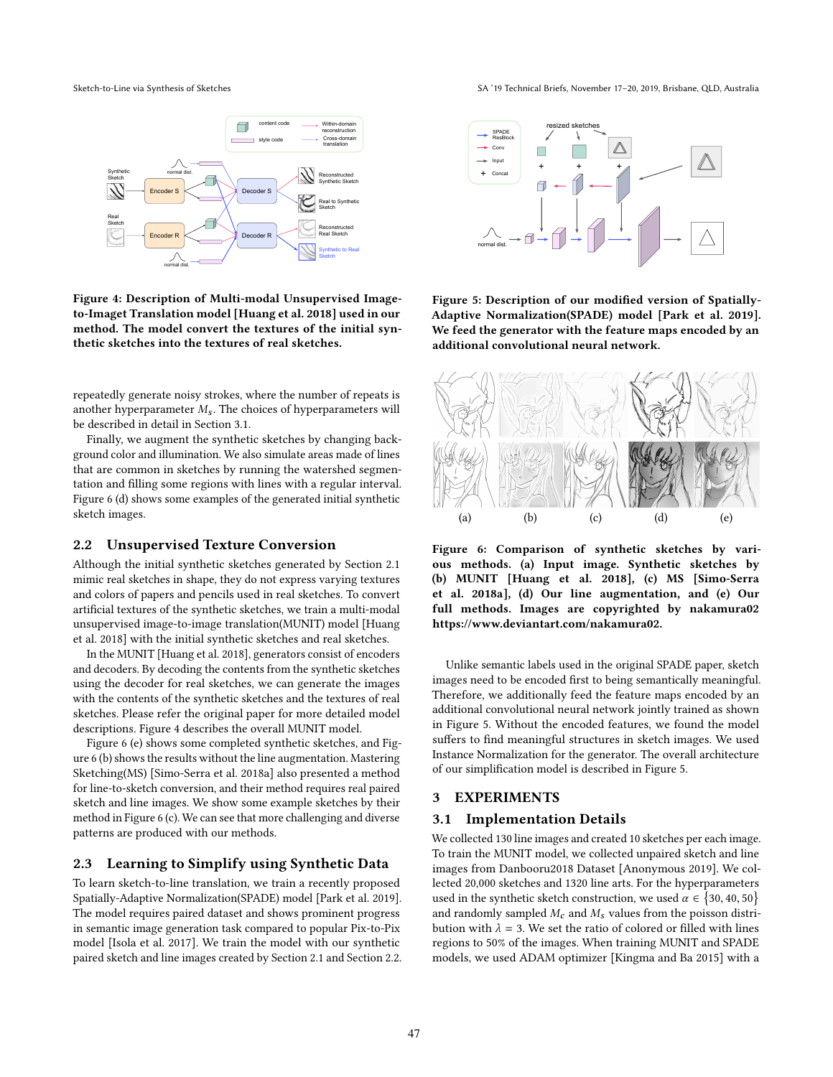

Figure 4: Description of Multi-modal Unsupervised Imageto-Imaget Translation model [Huang et al. 2018] used in our method. The model convert the textures of the initial synthetic sketches into the textures of real sketches.

repeatedly generate noisy strokes, where the number of repeats is another hyperparameter  $M_s$ . The choices of hyperparameters will be described in detail in Section 3.1.

Finally, we augment the synthetic sketches by changing background color and illumination. We also simulate areas made of lines that are common in sketches by running the watershed segmentation and filling some regions with lines with a regular interval. Figure 6 (d) shows some examples of the generated initial synthetic sketch images.

#### 2.2 Unsupervised Texture Conversion

Although the initial synthetic sketches generated by Section 2.1 mimic real sketches in shape, they do not express varying textures and colors of papers and pencils used in real sketches. To convert artificial textures of the synthetic sketches, we train a multi-modal unsupervised image-to-image translation(MUNIT) model [Huang et al. 2018] with the initial synthetic sketches and real sketches.

In the MUNIT [Huang et al. 2018], generators consist of encoders and decoders. By decoding the contents from the synthetic sketches using the decoder for real sketches, we can generate the images with the contents of the synthetic sketches and the textures of real sketches. Please refer the original paper for more detailed model descriptions. Figure 4 describes the overall MUNIT model.

Figure 6 (e) shows some completed synthetic sketches, and Figure 6 (b) shows the results without the line augmentation. Mastering Sketching(MS) [Simo-Serra et al. 2018a] also presented a method for line-to-sketch conversion, and their method requires real paired sketch and line images. We show some example sketches by their method in Figure 6 (c). We can see that more challenging and diverse patterns are produced with our methods.

## 2.3 Learning to Simplify using Synthetic Data

To learn sketch-to-line translation, we train a recently proposed Spatially-Adaptive Normalization(SPADE) model [Park et al. 2019]. The model requires paired dataset and shows prominent progress in semantic image generation task compared to popular Pix-to-Pix model [Isola et al. 2017]. We train the model with our synthetic paired sketch and line images created by Section 2.1 and Section 2.2.

Sketch-to-Line via Synthesis of Sketches SA '19 Technical Briefs, November 17-20, 2019, Brisbane, QLD, Australia



Figure 5: Description of our modified version of Spatially-Adaptive Normalization(SPADE) model [Park et al. 2019]. We feed the generator with the feature maps encoded by an additional convolutional neural network.



Figure 6: Comparison of synthetic sketches by various methods. (a) Input image. Synthetic sketches by (b) MUNIT [Huang et al. 2018], (c) MS [Simo-Serra et al. 2018a], (d) Our line augmentation, and (e) Our full methods. Images are copyrighted by nakamura02 https://www.deviantart.com/nakamura02.

Unlike semantic labels used in the original SPADE paper, sketch images need to be encoded first to being semantically meaningful. Therefore, we additionally feed the feature maps encoded by an additional convolutional neural network jointly trained as shown in Figure 5. Without the encoded features, we found the model suffers to find meaningful structures in sketch images. We used Instance Normalization for the generator. The overall architecture of our simplification model is described in Figure 5.

## 3 EXPERIMENTS

#### 3.1 Implementation Details

We collected 130 line images and created 10 sketches per each image. To train the MUNIT model, we collected unpaired sketch and line images from Danbooru2018 Dataset [Anonymous 2019]. We collected 20,000 sketches and 1320 line arts. For the hyperparameters used in the synthetic sketch construction, we used  $\alpha \in \{30, 40, 50\}$ and randomly sampled  $M_c$  and  $M_s$  values from the poisson distribution with  $\lambda = 3$ . We set the ratio of colored or filled with lines regions to 50% of the images. When training MUNIT and SPADE models, we used ADAM optimizer [Kingma and Ba 2015] with a